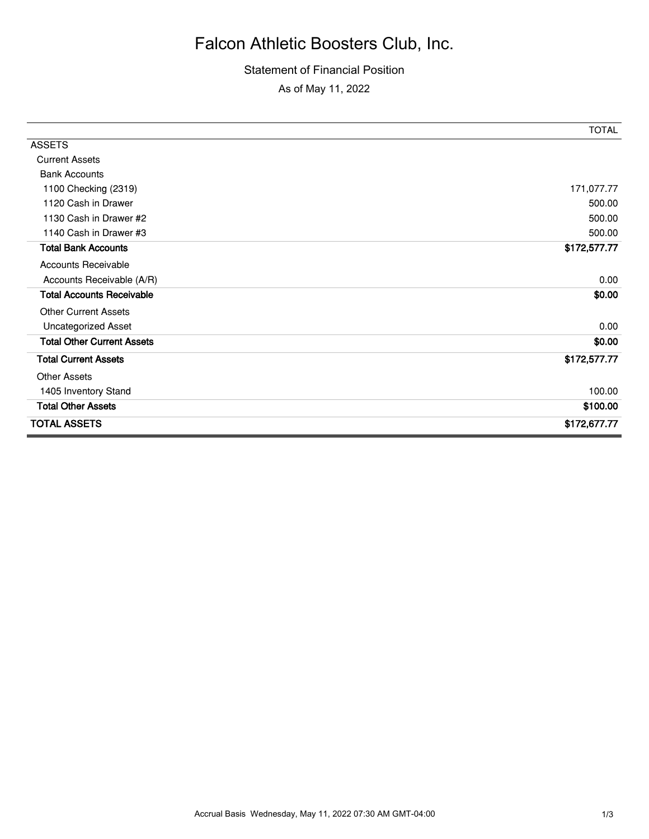# Falcon Athletic Boosters Club, Inc.

### Statement of Financial Position

As of May 11, 2022

|                                   | <b>TOTAL</b> |
|-----------------------------------|--------------|
| <b>ASSETS</b>                     |              |
| <b>Current Assets</b>             |              |
| <b>Bank Accounts</b>              |              |
| 1100 Checking (2319)              | 171,077.77   |
| 1120 Cash in Drawer               | 500.00       |
| 1130 Cash in Drawer #2            | 500.00       |
| 1140 Cash in Drawer #3            | 500.00       |
| <b>Total Bank Accounts</b>        | \$172,577.77 |
| <b>Accounts Receivable</b>        |              |
| Accounts Receivable (A/R)         | 0.00         |
| <b>Total Accounts Receivable</b>  | \$0.00       |
| <b>Other Current Assets</b>       |              |
| <b>Uncategorized Asset</b>        | 0.00         |
| <b>Total Other Current Assets</b> | \$0.00       |
| <b>Total Current Assets</b>       | \$172,577.77 |
| <b>Other Assets</b>               |              |
| 1405 Inventory Stand              | 100.00       |
| <b>Total Other Assets</b>         | \$100.00     |
| <b>TOTAL ASSETS</b>               | \$172,677.77 |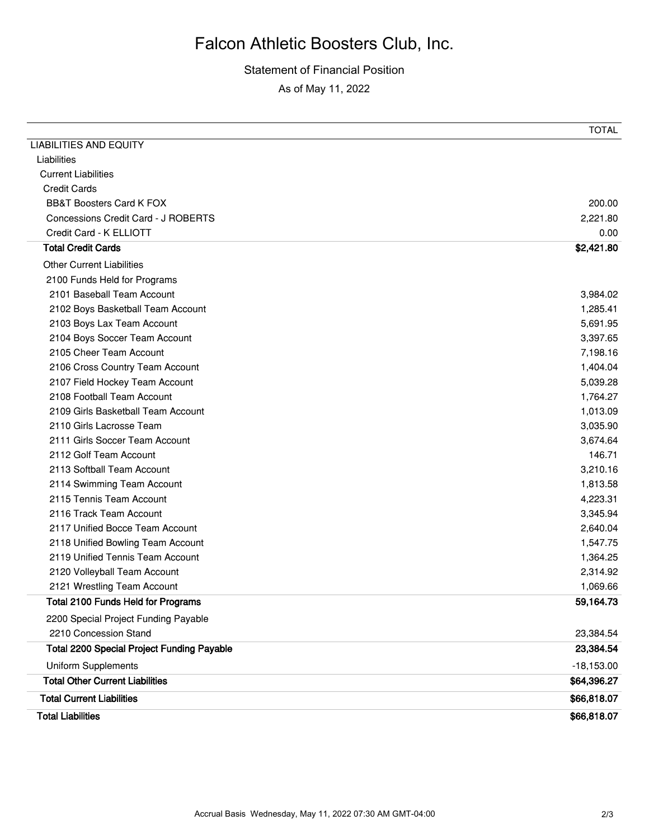# Falcon Athletic Boosters Club, Inc.

### Statement of Financial Position

As of May 11, 2022

| 2101 Baseball Team Account                        | 3,984.02     |
|---------------------------------------------------|--------------|
| 2100 Funds Held for Programs                      |              |
|                                                   |              |
| 2102 Boys Basketball Team Account                 | 1,285.41     |
| 2103 Boys Lax Team Account                        | 5,691.95     |
| 2104 Boys Soccer Team Account                     | 3,397.65     |
| 2105 Cheer Team Account                           | 7,198.16     |
| 2106 Cross Country Team Account                   | 1,404.04     |
| 2107 Field Hockey Team Account                    | 5,039.28     |
| 2108 Football Team Account                        | 1,764.27     |
| 2109 Girls Basketball Team Account                | 1,013.09     |
| 2110 Girls Lacrosse Team                          | 3,035.90     |
| 2111 Girls Soccer Team Account                    | 3,674.64     |
| 2112 Golf Team Account                            | 146.71       |
| 2113 Softball Team Account                        | 3,210.16     |
| 2114 Swimming Team Account                        | 1,813.58     |
| 2115 Tennis Team Account                          | 4,223.31     |
| 2116 Track Team Account                           | 3,345.94     |
| 2117 Unified Bocce Team Account                   | 2,640.04     |
| 2118 Unified Bowling Team Account                 | 1,547.75     |
| 2119 Unified Tennis Team Account                  | 1,364.25     |
| 2120 Volleyball Team Account                      | 2,314.92     |
| 2121 Wrestling Team Account                       | 1,069.66     |
| <b>Total 2100 Funds Held for Programs</b>         | 59,164.73    |
| 2200 Special Project Funding Payable              |              |
| 2210 Concession Stand                             | 23,384.54    |
| <b>Total 2200 Special Project Funding Payable</b> | 23,384.54    |
| <b>Uniform Supplements</b>                        | $-18,153.00$ |
| <b>Total Other Current Liabilities</b>            | \$64,396.27  |
| <b>Total Current Liabilities</b>                  | \$66,818.07  |
| <b>Total Liabilities</b>                          | \$66,818.07  |